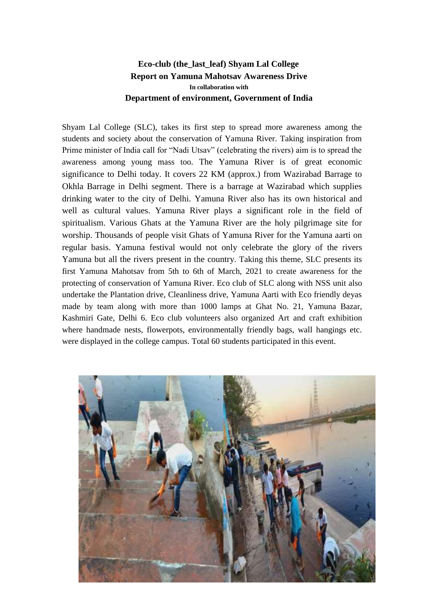## **Eco-club (the\_last\_leaf) Shyam Lal College Report on Yamuna Mahotsav Awareness Drive In collaboration with Department of environment, Government of India**

Shyam Lal College (SLC), takes its first step to spread more awareness among the students and society about the conservation of Yamuna River. Taking inspiration from Prime minister of India call for "Nadi Utsav" (celebrating the rivers) aim is to spread the awareness among young mass too. The Yamuna River is of great economic significance to Delhi today. It covers 22 KM (approx.) from Wazirabad Barrage to Okhla Barrage in Delhi segment. There is a barrage at Wazirabad which supplies drinking water to the city of Delhi. Yamuna River also has its own historical and well as cultural values. Yamuna River plays a significant role in the field of spiritualism. Various Ghats at the Yamuna River are the holy pilgrimage site for worship. Thousands of people visit Ghats of Yamuna River for the Yamuna aarti on regular basis. Yamuna festival would not only celebrate the glory of the rivers Yamuna but all the rivers present in the country. Taking this theme, SLC presents its first Yamuna Mahotsav from 5th to 6th of March, 2021 to create awareness for the protecting of conservation of Yamuna River. Eco club of SLC along with NSS unit also undertake the Plantation drive, Cleanliness drive, Yamuna Aarti with Eco friendly deyas made by team along with more than 1000 lamps at Ghat No. 21, Yamuna Bazar, Kashmiri Gate, Delhi 6. Eco club volunteers also organized Art and craft exhibition where handmade nests, flowerpots, environmentally friendly bags, wall hangings etc. were displayed in the college campus. Total 60 students participated in this event.